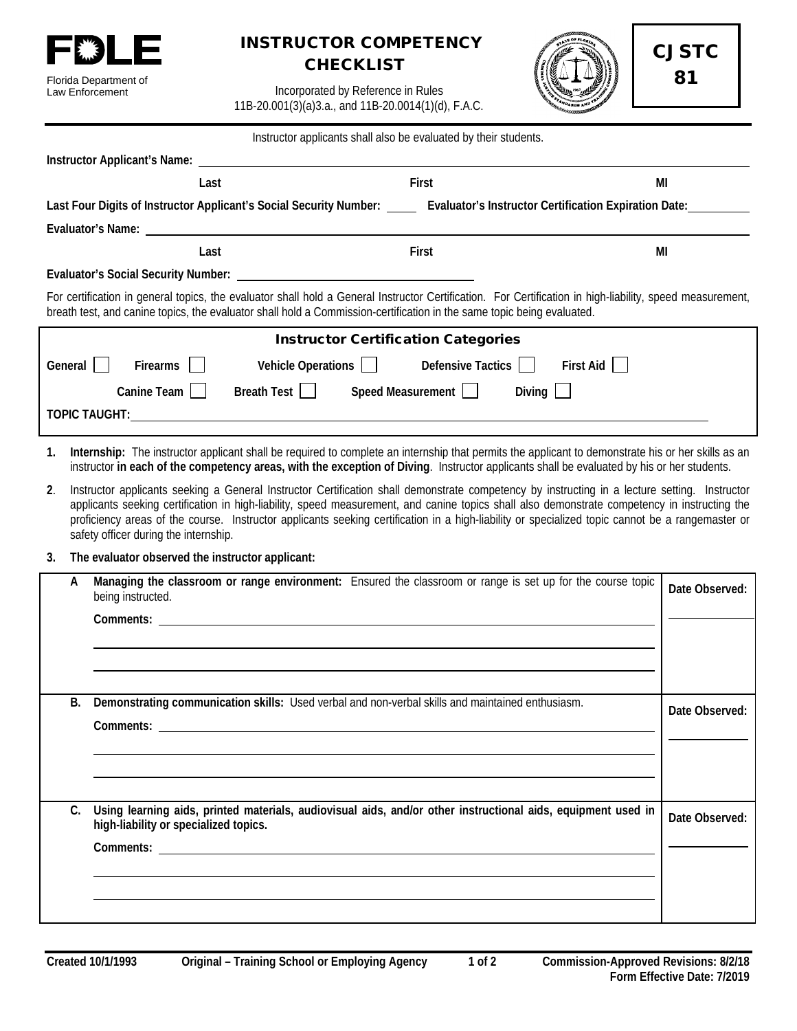

## INSTRUCTOR COMPETENCY **CHECKLIST**



CJSTC 81

Incorporated by Reference in Rules 11B-20.001(3)(a)3.a., and 11B-20.0014(1)(d), F.A.C.

| Instructor applicants shall also be evaluated by their students.                                                                                                                                                                                                                    |                                                                                                                                                                                                                                                                                                                                                                                                                                                                                             |                                                  |                                                                                                                       |           |                |  |  |
|-------------------------------------------------------------------------------------------------------------------------------------------------------------------------------------------------------------------------------------------------------------------------------------|---------------------------------------------------------------------------------------------------------------------------------------------------------------------------------------------------------------------------------------------------------------------------------------------------------------------------------------------------------------------------------------------------------------------------------------------------------------------------------------------|--------------------------------------------------|-----------------------------------------------------------------------------------------------------------------------|-----------|----------------|--|--|
|                                                                                                                                                                                                                                                                                     |                                                                                                                                                                                                                                                                                                                                                                                                                                                                                             |                                                  |                                                                                                                       |           |                |  |  |
|                                                                                                                                                                                                                                                                                     |                                                                                                                                                                                                                                                                                                                                                                                                                                                                                             | Last                                             | First                                                                                                                 |           | MI             |  |  |
| Last Four Digits of Instructor Applicant's Social Security Number: _____ Evaluator's Instructor Certification Expiration Date: _______                                                                                                                                              |                                                                                                                                                                                                                                                                                                                                                                                                                                                                                             |                                                  |                                                                                                                       |           |                |  |  |
|                                                                                                                                                                                                                                                                                     |                                                                                                                                                                                                                                                                                                                                                                                                                                                                                             |                                                  |                                                                                                                       |           |                |  |  |
|                                                                                                                                                                                                                                                                                     |                                                                                                                                                                                                                                                                                                                                                                                                                                                                                             | Last                                             | First                                                                                                                 |           | MI             |  |  |
|                                                                                                                                                                                                                                                                                     | <b>Evaluator's Social Security Number:</b>                                                                                                                                                                                                                                                                                                                                                                                                                                                  |                                                  | <u> 1980 - Johann Harry Harry Harry Harry Harry Harry Harry Harry Harry Harry Harry Harry Harry Harry Harry Harry</u> |           |                |  |  |
| For certification in general topics, the evaluator shall hold a General Instructor Certification. For Certification in high-liability, speed measurement,<br>breath test, and canine topics, the evaluator shall hold a Commission-certification in the same topic being evaluated. |                                                                                                                                                                                                                                                                                                                                                                                                                                                                                             |                                                  |                                                                                                                       |           |                |  |  |
|                                                                                                                                                                                                                                                                                     | <b>Instructor Certification Categories</b>                                                                                                                                                                                                                                                                                                                                                                                                                                                  |                                                  |                                                                                                                       |           |                |  |  |
| General $\vert \vert$                                                                                                                                                                                                                                                               | Firearms                                                                                                                                                                                                                                                                                                                                                                                                                                                                                    | Vehicle Operations                               | Defensive Tactics                                                                                                     | First Aid |                |  |  |
|                                                                                                                                                                                                                                                                                     | Canine Team                                                                                                                                                                                                                                                                                                                                                                                                                                                                                 | Breath Test                                      | Speed Measurement                                                                                                     | Diving    |                |  |  |
|                                                                                                                                                                                                                                                                                     |                                                                                                                                                                                                                                                                                                                                                                                                                                                                                             |                                                  |                                                                                                                       |           |                |  |  |
|                                                                                                                                                                                                                                                                                     |                                                                                                                                                                                                                                                                                                                                                                                                                                                                                             |                                                  |                                                                                                                       |           |                |  |  |
| 1.                                                                                                                                                                                                                                                                                  | Internship: The instructor applicant shall be required to complete an internship that permits the applicant to demonstrate his or her skills as an<br>instructor in each of the competency areas, with the exception of Diving. Instructor applicants shall be evaluated by his or her students.                                                                                                                                                                                            |                                                  |                                                                                                                       |           |                |  |  |
| 2.                                                                                                                                                                                                                                                                                  | Instructor applicants seeking a General Instructor Certification shall demonstrate competency by instructing in a lecture setting. Instructor<br>applicants seeking certification in high-liability, speed measurement, and canine topics shall also demonstrate competency in instructing the<br>proficiency areas of the course. Instructor applicants seeking certification in a high-liability or specialized topic cannot be a rangemaster or<br>safety officer during the internship. |                                                  |                                                                                                                       |           |                |  |  |
| 3.                                                                                                                                                                                                                                                                                  |                                                                                                                                                                                                                                                                                                                                                                                                                                                                                             | The evaluator observed the instructor applicant: |                                                                                                                       |           |                |  |  |
| A                                                                                                                                                                                                                                                                                   | being instructed.                                                                                                                                                                                                                                                                                                                                                                                                                                                                           |                                                  | Managing the classroom or range environment: Ensured the classroom or range is set up for the course topic            |           | Date Observed: |  |  |
|                                                                                                                                                                                                                                                                                     |                                                                                                                                                                                                                                                                                                                                                                                                                                                                                             |                                                  |                                                                                                                       |           |                |  |  |
|                                                                                                                                                                                                                                                                                     |                                                                                                                                                                                                                                                                                                                                                                                                                                                                                             |                                                  |                                                                                                                       |           |                |  |  |
|                                                                                                                                                                                                                                                                                     |                                                                                                                                                                                                                                                                                                                                                                                                                                                                                             |                                                  |                                                                                                                       |           |                |  |  |
|                                                                                                                                                                                                                                                                                     |                                                                                                                                                                                                                                                                                                                                                                                                                                                                                             |                                                  |                                                                                                                       |           |                |  |  |
| В.                                                                                                                                                                                                                                                                                  |                                                                                                                                                                                                                                                                                                                                                                                                                                                                                             |                                                  | Demonstrating communication skills: Used verbal and non-verbal skills and maintained enthusiasm.                      |           | Date Observed: |  |  |
|                                                                                                                                                                                                                                                                                     |                                                                                                                                                                                                                                                                                                                                                                                                                                                                                             |                                                  |                                                                                                                       |           |                |  |  |
|                                                                                                                                                                                                                                                                                     |                                                                                                                                                                                                                                                                                                                                                                                                                                                                                             |                                                  |                                                                                                                       |           |                |  |  |
|                                                                                                                                                                                                                                                                                     |                                                                                                                                                                                                                                                                                                                                                                                                                                                                                             |                                                  |                                                                                                                       |           |                |  |  |
| C.                                                                                                                                                                                                                                                                                  |                                                                                                                                                                                                                                                                                                                                                                                                                                                                                             |                                                  | Using learning aids, printed materials, audiovisual aids, and/or other instructional aids, equipment used in          |           |                |  |  |
|                                                                                                                                                                                                                                                                                     | high-liability or specialized topics.                                                                                                                                                                                                                                                                                                                                                                                                                                                       |                                                  |                                                                                                                       |           | Date Observed: |  |  |
|                                                                                                                                                                                                                                                                                     |                                                                                                                                                                                                                                                                                                                                                                                                                                                                                             |                                                  |                                                                                                                       |           |                |  |  |
|                                                                                                                                                                                                                                                                                     |                                                                                                                                                                                                                                                                                                                                                                                                                                                                                             |                                                  |                                                                                                                       |           |                |  |  |
|                                                                                                                                                                                                                                                                                     |                                                                                                                                                                                                                                                                                                                                                                                                                                                                                             |                                                  |                                                                                                                       |           |                |  |  |
|                                                                                                                                                                                                                                                                                     |                                                                                                                                                                                                                                                                                                                                                                                                                                                                                             |                                                  |                                                                                                                       |           |                |  |  |